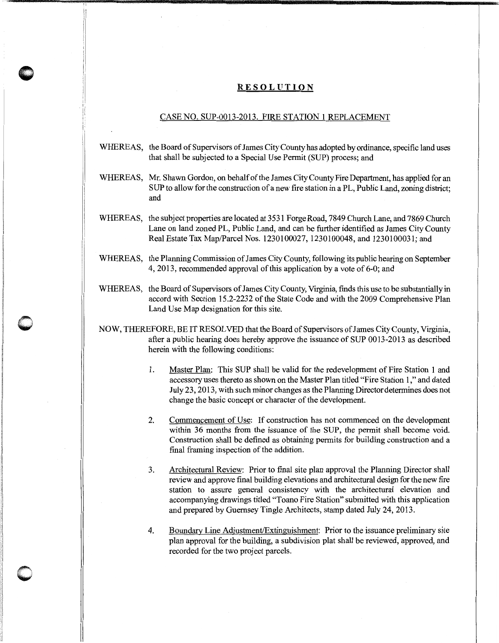## **RESOLUTION**

## CASE NO. SUP-0013-2013. FIRE STATION 1 REPLACEMENT

- WHEREAS, the Board of Supervisors of James City County has adopted by ordinance, specific land uses that shall be subjected to a Special Use Permit (SUP) process; and
- WHEREAS, Mr. Shawn Gordon, on behalf of the James City County Fire Department, has applied for an SUP to allow for the construction of a new fire station in a PL, Public Land, zoning district; and
- WHEREAS, the subject properties are located at 3531 Forge Road, 7849 Church Lane, and 7869 Church Lane on land zoned PL, Public Land, and can be further identified as James City County Real Estate Tax Map/Parcel Nos. 1230100027, 1230100048, and 1230100031; and
- WHEREAS, the Planning Commission of James City County, following its public hearing on September 4, 2013, recommended approval of this application by a vote of 6-0; and
- WHEREAS, the Board of Supervisors of James City County, Virginia, finds this use to be substantially in accord with Section 15.2-2232 of the State Code and with the 2009 Comprehensive Plan Land Use Map designation for this site.
- NOW, THEREFORE, BE IT RESOLVED that the Board of Supervisors of James City County, Virginia, after a public hearing does hereby approve the issuance of SUP 0013-2013 as described herein with the following conditions:

 $\bigcirc$ 

- 1. Master Plan: This SUP shall be valid for the redevelopment of Fire Station 1 and accessory uses thereto as shown on the Master Plan titled "Fire Station 1 ,"and dated July 23, 2013, with such minor changes as the Planning Director determines does not change the basic concept or character of the development.
- 2. Commencement of Use: If construction has not commenced on the development within 36 months from the issuance of the SUP, the permit shall become void. Construction shall be defined as obtaining permits for building construction and a final framing inspection of the addition.
- 3. Architectural Review: Prior to final site plan approval the Planning Director shall review and approve final building elevations and architectural design for the new fire station to assure general consistency with the architectural elevation and accompanying drawings titled "Toano Fire Station" submitted with this application and prepared by Guernsey Tingle Architects, stamp dated July 24, 2013.
- 4. Boundary Line Adjustment/Extinguishment: Prior to the issuance preliminary site plan approval for the building, a subdivision plat shall be reviewed, approved, and recorded for the two project parcels.